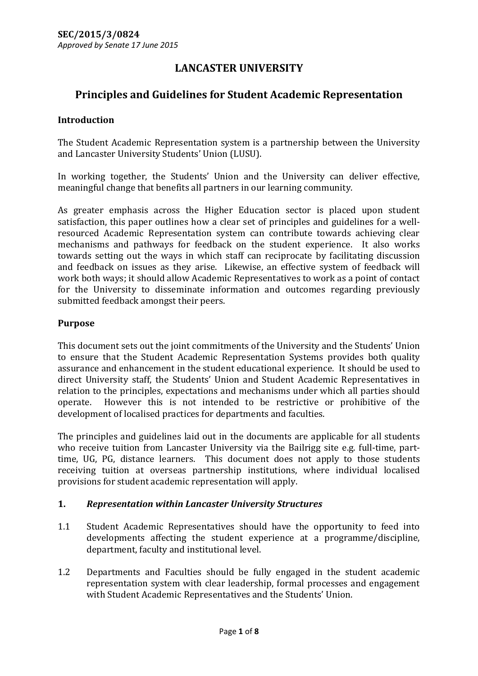# **LANCASTER UNIVERSITY**

# **Principles and Guidelines for Student Academic Representation**

### **Introduction**

The Student Academic Representation system is a partnership between the University and Lancaster University Students' Union (LUSU).

In working together, the Students' Union and the University can deliver effective, meaningful change that benefits all partners in our learning community.

As greater emphasis across the Higher Education sector is placed upon student satisfaction, this paper outlines how a clear set of principles and guidelines for a wellresourced Academic Representation system can contribute towards achieving clear mechanisms and pathways for feedback on the student experience. It also works towards setting out the ways in which staff can reciprocate by facilitating discussion and feedback on issues as they arise. Likewise, an effective system of feedback will work both ways; it should allow Academic Representatives to work as a point of contact for the University to disseminate information and outcomes regarding previously submitted feedback amongst their peers.

#### **Purpose**

This document sets out the joint commitments of the University and the Students' Union to ensure that the Student Academic Representation Systems provides both quality assurance and enhancement in the student educational experience. It should be used to direct University staff, the Students' Union and Student Academic Representatives in relation to the principles, expectations and mechanisms under which all parties should operate. However this is not intended to be restrictive or prohibitive of the development of localised practices for departments and faculties.

The principles and guidelines laid out in the documents are applicable for all students who receive tuition from Lancaster University via the Bailrigg site e.g. full-time, parttime, UG, PG, distance learners. This document does not apply to those students receiving tuition at overseas partnership institutions, where individual localised provisions for student academic representation will apply.

### **1.** *Representation within Lancaster University Structures*

- 1.1 Student Academic Representatives should have the opportunity to feed into developments affecting the student experience at a programme/discipline, department, faculty and institutional level.
- 1.2 Departments and Faculties should be fully engaged in the student academic representation system with clear leadership, formal processes and engagement with Student Academic Representatives and the Students' Union.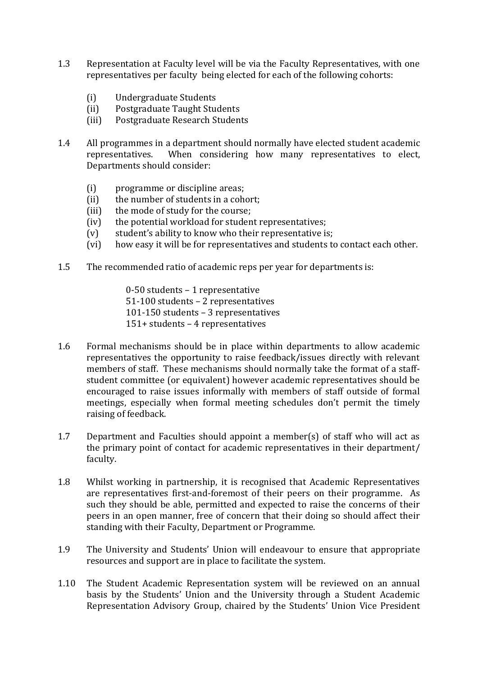- 1.3 Representation at Faculty level will be via the Faculty Representatives, with one representatives per faculty being elected for each of the following cohorts:
	- (i) Undergraduate Students
	- (ii) Postgraduate Taught Students
	- (iii) Postgraduate Research Students
- 1.4 All programmes in a department should normally have elected student academic representatives. When considering how many representatives to elect, Departments should consider:
	- (i) programme or discipline areas;
	- (ii) the number of students in a cohort;
	- (iii) the mode of study for the course;
	- (iv) the potential workload for student representatives;
	- (v) student's ability to know who their representative is;
	- (vi) how easy it will be for representatives and students to contact each other.
- 1.5 The recommended ratio of academic reps per year for departments is:
	- 0-50 students 1 representative 51-100 students – 2 representatives 101-150 students – 3 representatives 151+ students – 4 representatives
- 1.6 Formal mechanisms should be in place within departments to allow academic representatives the opportunity to raise feedback/issues directly with relevant members of staff. These mechanisms should normally take the format of a staffstudent committee (or equivalent) however academic representatives should be encouraged to raise issues informally with members of staff outside of formal meetings, especially when formal meeting schedules don't permit the timely raising of feedback.
- 1.7 Department and Faculties should appoint a member(s) of staff who will act as the primary point of contact for academic representatives in their department/ faculty.
- 1.8 Whilst working in partnership, it is recognised that Academic Representatives are representatives first-and-foremost of their peers on their programme. As such they should be able, permitted and expected to raise the concerns of their peers in an open manner, free of concern that their doing so should affect their standing with their Faculty, Department or Programme.
- 1.9 The University and Students' Union will endeavour to ensure that appropriate resources and support are in place to facilitate the system.
- 1.10 The Student Academic Representation system will be reviewed on an annual basis by the Students' Union and the University through a Student Academic Representation Advisory Group, chaired by the Students' Union Vice President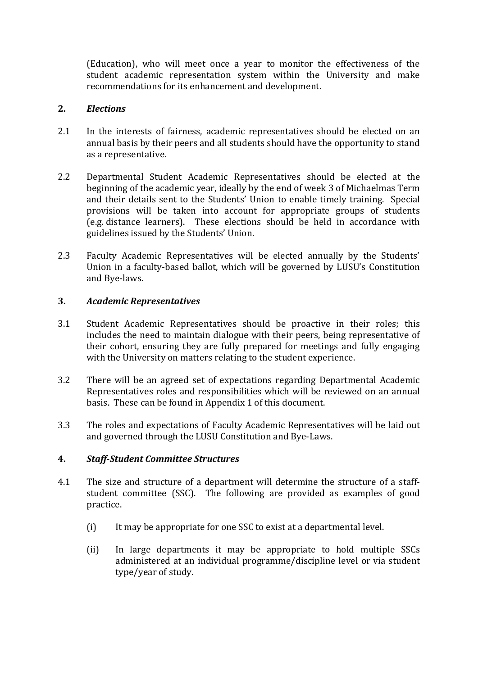(Education), who will meet once a year to monitor the effectiveness of the student academic representation system within the University and make recommendations for its enhancement and development.

### **2.** *Elections*

- 2.1 In the interests of fairness, academic representatives should be elected on an annual basis by their peers and all students should have the opportunity to stand as a representative.
- 2.2 Departmental Student Academic Representatives should be elected at the beginning of the academic year, ideally by the end of week 3 of Michaelmas Term and their details sent to the Students' Union to enable timely training. Special provisions will be taken into account for appropriate groups of students (e.g. distance learners). These elections should be held in accordance with guidelines issued by the Students' Union.
- 2.3 Faculty Academic Representatives will be elected annually by the Students' Union in a faculty-based ballot, which will be governed by LUSU's Constitution and Bye-laws.

# **3.** *Academic Representatives*

- 3.1 Student Academic Representatives should be proactive in their roles; this includes the need to maintain dialogue with their peers, being representative of their cohort, ensuring they are fully prepared for meetings and fully engaging with the University on matters relating to the student experience.
- 3.2 There will be an agreed set of expectations regarding Departmental Academic Representatives roles and responsibilities which will be reviewed on an annual basis. These can be found in Appendix 1 of this document.
- 3.3 The roles and expectations of Faculty Academic Representatives will be laid out and governed through the LUSU Constitution and Bye-Laws.

# **4.** *Staff-Student Committee Structures*

- 4.1 The size and structure of a department will determine the structure of a staffstudent committee (SSC). The following are provided as examples of good practice.
	- (i) It may be appropriate for one SSC to exist at a departmental level.
	- (ii) In large departments it may be appropriate to hold multiple SSCs administered at an individual programme/discipline level or via student type/year of study.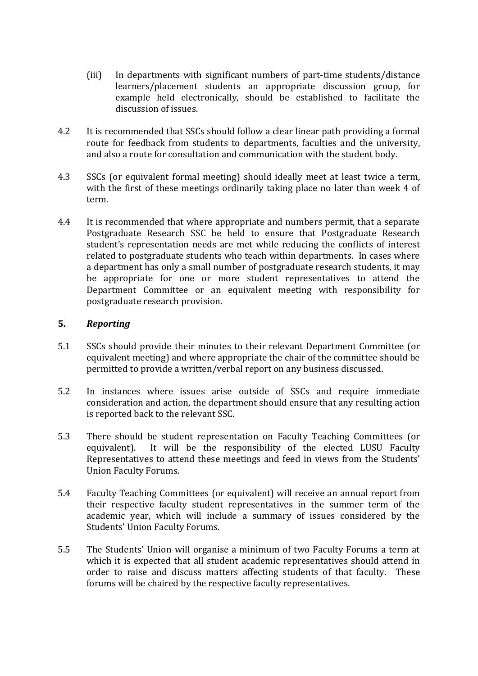- (iii) In departments with significant numbers of part-time students/distance learners/placement students an appropriate discussion group, for example held electronically, should be established to facilitate the discussion of issues.
- 4.2 It is recommended that SSCs should follow a clear linear path providing a formal route for feedback from students to departments, faculties and the university, and also a route for consultation and communication with the student body.
- 4.3 SSCs (or equivalent formal meeting) should ideally meet at least twice a term, with the first of these meetings ordinarily taking place no later than week 4 of term.
- 4.4 It is recommended that where appropriate and numbers permit, that a separate Postgraduate Research SSC be held to ensure that Postgraduate Research student's representation needs are met while reducing the conflicts of interest related to postgraduate students who teach within departments. In cases where a department has only a small number of postgraduate research students, it may be appropriate for one or more student representatives to attend the Department Committee or an equivalent meeting with responsibility for postgraduate research provision.

#### **5.** *Reporting*

- 5.1 SSCs should provide their minutes to their relevant Department Committee (or equivalent meeting) and where appropriate the chair of the committee should be permitted to provide a written/verbal report on any business discussed.
- 5.2 In instances where issues arise outside of SSCs and require immediate consideration and action, the department should ensure that any resulting action is reported back to the relevant SSC.
- 5.3 There should be student representation on Faculty Teaching Committees (or equivalent). It will be the responsibility of the elected LUSU Faculty Representatives to attend these meetings and feed in views from the Students' Union Faculty Forums.
- 5.4 Faculty Teaching Committees (or equivalent) will receive an annual report from their respective faculty student representatives in the summer term of the academic year, which will include a summary of issues considered by the Students' Union Faculty Forums.
- 5.5 The Students' Union will organise a minimum of two Faculty Forums a term at which it is expected that all student academic representatives should attend in order to raise and discuss matters affecting students of that faculty. These forums will be chaired by the respective faculty representatives.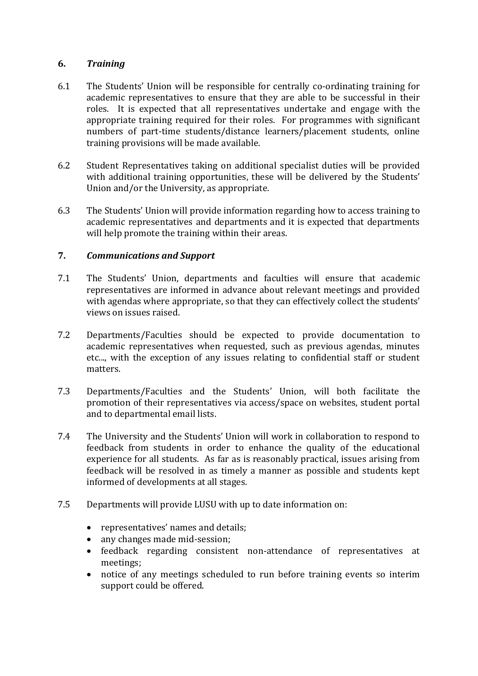## **6.** *Training*

- 6.1 The Students' Union will be responsible for centrally co-ordinating training for academic representatives to ensure that they are able to be successful in their roles. It is expected that all representatives undertake and engage with the appropriate training required for their roles. For programmes with significant numbers of part-time students/distance learners/placement students, online training provisions will be made available.
- 6.2 Student Representatives taking on additional specialist duties will be provided with additional training opportunities, these will be delivered by the Students' Union and/or the University, as appropriate.
- 6.3 The Students' Union will provide information regarding how to access training to academic representatives and departments and it is expected that departments will help promote the training within their areas.

## **7.** *Communications and Support*

- 7.1 The Students' Union, departments and faculties will ensure that academic representatives are informed in advance about relevant meetings and provided with agendas where appropriate, so that they can effectively collect the students' views on issues raised.
- 7.2 Departments/Faculties should be expected to provide documentation to academic representatives when requested, such as previous agendas, minutes etc..., with the exception of any issues relating to confidential staff or student matters.
- 7.3 Departments/Faculties and the Students' Union, will both facilitate the promotion of their representatives via access/space on websites, student portal and to departmental email lists.
- 7.4 The University and the Students' Union will work in collaboration to respond to feedback from students in order to enhance the quality of the educational experience for all students. As far as is reasonably practical, issues arising from feedback will be resolved in as timely a manner as possible and students kept informed of developments at all stages.
- 7.5 Departments will provide LUSU with up to date information on:
	- representatives' names and details;
	- any changes made mid-session;
	- feedback regarding consistent non-attendance of representatives at meetings;
	- notice of any meetings scheduled to run before training events so interim support could be offered.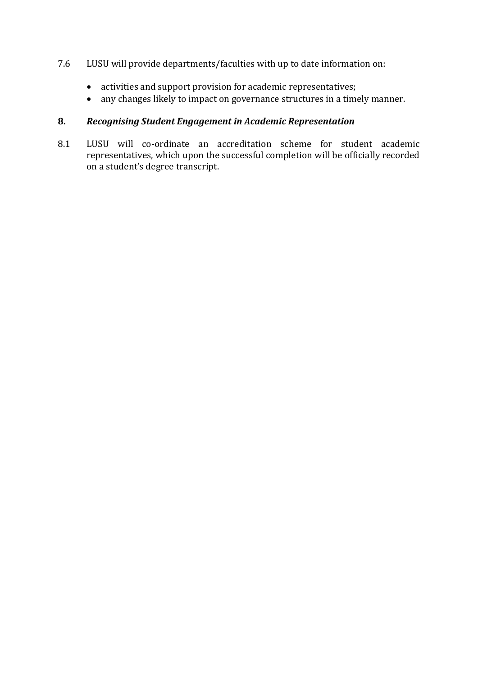### 7.6 LUSU will provide departments/faculties with up to date information on:

- activities and support provision for academic representatives;
- any changes likely to impact on governance structures in a timely manner.

## **8.** *Recognising Student Engagement in Academic Representation*

8.1 LUSU will co-ordinate an accreditation scheme for student academic representatives, which upon the successful completion will be officially recorded on a student's degree transcript.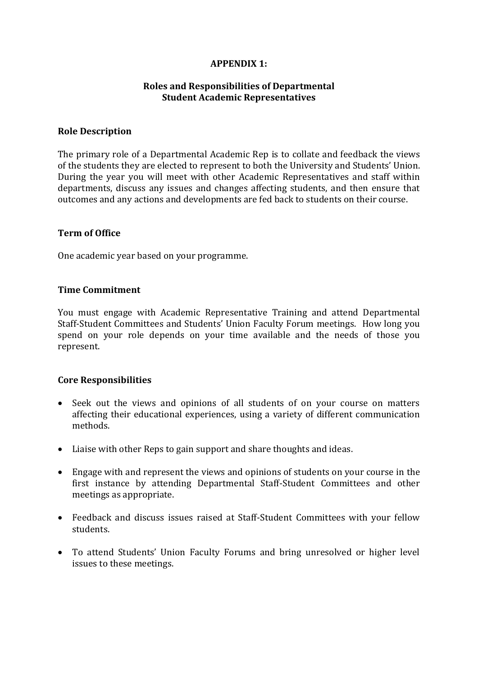### **APPENDIX 1:**

#### **Roles and Responsibilities of Departmental Student Academic Representatives**

#### **Role Description**

The primary role of a Departmental Academic Rep is to collate and feedback the views of the students they are elected to represent to both the University and Students' Union. During the year you will meet with other Academic Representatives and staff within departments, discuss any issues and changes affecting students, and then ensure that outcomes and any actions and developments are fed back to students on their course.

#### **Term of Office**

One academic year based on your programme.

#### **Time Commitment**

You must engage with Academic Representative Training and attend Departmental Staff-Student Committees and Students' Union Faculty Forum meetings. How long you spend on your role depends on your time available and the needs of those you represent.

#### **Core Responsibilities**

- Seek out the views and opinions of all students of on your course on matters affecting their educational experiences, using a variety of different communication methods.
- Liaise with other Reps to gain support and share thoughts and ideas.
- Engage with and represent the views and opinions of students on your course in the first instance by attending Departmental Staff-Student Committees and other meetings as appropriate.
- Feedback and discuss issues raised at Staff-Student Committees with your fellow students.
- To attend Students' Union Faculty Forums and bring unresolved or higher level issues to these meetings.